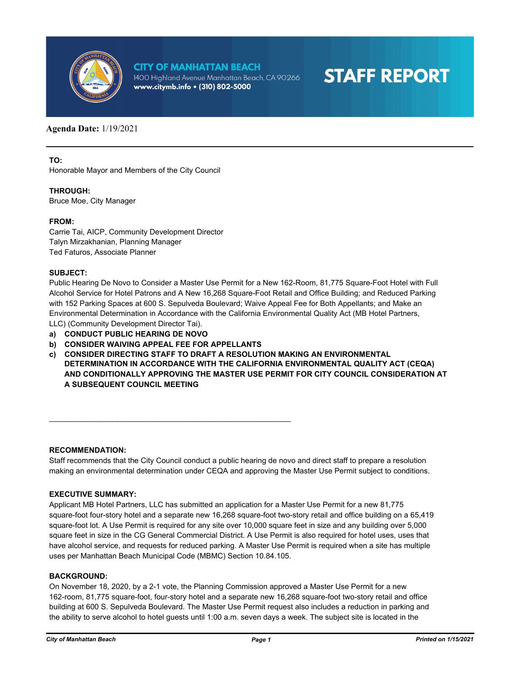

## **CITY OF MANHATTAN BEACH**

1400 Highland Avenue Manhattan Beach, CA 90266 www.citymb.info • (310) 802-5000

# **STAFF REPORT**

### **Agenda Date:** 1/19/2021

**TO:**

Honorable Mayor and Members of the City Council

#### **THROUGH:**

Bruce Moe, City Manager

#### **FROM:**

Carrie Tai, AICP, Community Development Director Talyn Mirzakhanian, Planning Manager Ted Faturos, Associate Planner

#### **SUBJECT:**

Public Hearing De Novo to Consider a Master Use Permit for a New 162-Room, 81,775 Square-Foot Hotel with Full Alcohol Service for Hotel Patrons and A New 16,268 Square-Foot Retail and Office Building; and Reduced Parking with 152 Parking Spaces at 600 S. Sepulveda Boulevard; Waive Appeal Fee for Both Appellants; and Make an Environmental Determination in Accordance with the California Environmental Quality Act (MB Hotel Partners, LLC) (Community Development Director Tai).

- **a) CONDUCT PUBLIC HEARING DE NOVO**
- **b) CONSIDER WAIVING APPEAL FEE FOR APPELLANTS**

\_\_\_\_\_\_\_\_\_\_\_\_\_\_\_\_\_\_\_\_\_\_\_\_\_\_\_\_\_\_\_\_\_\_\_\_\_\_\_\_\_\_\_\_\_\_\_\_\_\_\_\_\_\_\_\_\_

**c) CONSIDER DIRECTING STAFF TO DRAFT A RESOLUTION MAKING AN ENVIRONMENTAL DETERMINATION IN ACCORDANCE WITH THE CALIFORNIA ENVIRONMENTAL QUALITY ACT (CEQA) AND CONDITIONALLY APPROVING THE MASTER USE PERMIT FOR CITY COUNCIL CONSIDERATION AT A SUBSEQUENT COUNCIL MEETING**

#### **RECOMMENDATION:**

Staff recommends that the City Council conduct a public hearing de novo and direct staff to prepare a resolution making an environmental determination under CEQA and approving the Master Use Permit subject to conditions.

#### **EXECUTIVE SUMMARY:**

Applicant MB Hotel Partners, LLC has submitted an application for a Master Use Permit for a new 81,775 square-foot four-story hotel and a separate new 16,268 square-foot two-story retail and office building on a 65,419 square-foot lot. A Use Permit is required for any site over 10,000 square feet in size and any building over 5,000 square feet in size in the CG General Commercial District. A Use Permit is also required for hotel uses, uses that have alcohol service, and requests for reduced parking. A Master Use Permit is required when a site has multiple uses per Manhattan Beach Municipal Code (MBMC) Section 10.84.105.

#### **BACKGROUND:**

On November 18, 2020, by a 2-1 vote, the Planning Commission approved a Master Use Permit for a new 162-room, 81,775 square-foot, four-story hotel and a separate new 16,268 square-foot two-story retail and office building at 600 S. Sepulveda Boulevard. The Master Use Permit request also includes a reduction in parking and the ability to serve alcohol to hotel guests until 1:00 a.m. seven days a week. The subject site is located in the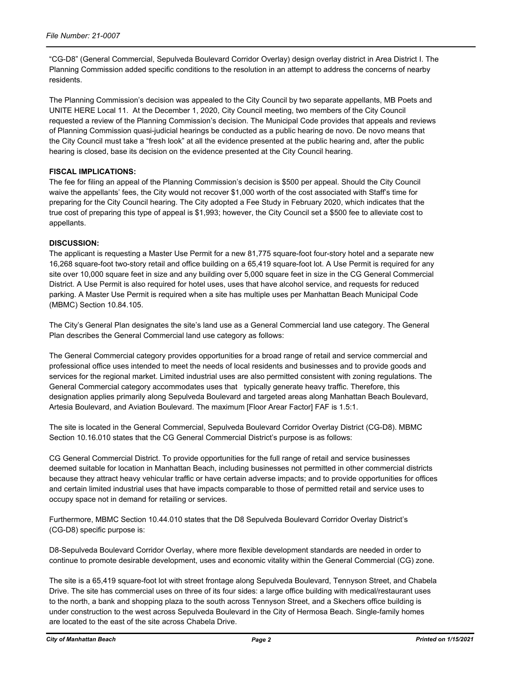"CG-D8" (General Commercial, Sepulveda Boulevard Corridor Overlay) design overlay district in Area District I. The Planning Commission added specific conditions to the resolution in an attempt to address the concerns of nearby residents.

The Planning Commission's decision was appealed to the City Council by two separate appellants, MB Poets and UNITE HERE Local 11. At the December 1, 2020, City Council meeting, two members of the City Council requested a review of the Planning Commission's decision. The Municipal Code provides that appeals and reviews of Planning Commission quasi-judicial hearings be conducted as a public hearing de novo. De novo means that the City Council must take a "fresh look" at all the evidence presented at the public hearing and, after the public hearing is closed, base its decision on the evidence presented at the City Council hearing.

#### **FISCAL IMPLICATIONS:**

The fee for filing an appeal of the Planning Commission's decision is \$500 per appeal. Should the City Council waive the appellants' fees, the City would not recover \$1,000 worth of the cost associated with Staff's time for preparing for the City Council hearing. The City adopted a Fee Study in February 2020, which indicates that the true cost of preparing this type of appeal is \$1,993; however, the City Council set a \$500 fee to alleviate cost to appellants.

#### **DISCUSSION:**

The applicant is requesting a Master Use Permit for a new 81,775 square-foot four-story hotel and a separate new 16,268 square-foot two-story retail and office building on a 65,419 square-foot lot. A Use Permit is required for any site over 10,000 square feet in size and any building over 5,000 square feet in size in the CG General Commercial District. A Use Permit is also required for hotel uses, uses that have alcohol service, and requests for reduced parking. A Master Use Permit is required when a site has multiple uses per Manhattan Beach Municipal Code (MBMC) Section 10.84.105.

The City's General Plan designates the site's land use as a General Commercial land use category. The General Plan describes the General Commercial land use category as follows:

The General Commercial category provides opportunities for a broad range of retail and service commercial and professional office uses intended to meet the needs of local residents and businesses and to provide goods and services for the regional market. Limited industrial uses are also permitted consistent with zoning regulations. The General Commercial category accommodates uses that typically generate heavy traffic. Therefore, this designation applies primarily along Sepulveda Boulevard and targeted areas along Manhattan Beach Boulevard, Artesia Boulevard, and Aviation Boulevard. The maximum [Floor Arear Factor] FAF is 1.5:1.

The site is located in the General Commercial, Sepulveda Boulevard Corridor Overlay District (CG-D8). MBMC Section 10.16.010 states that the CG General Commercial District's purpose is as follows:

CG General Commercial District. To provide opportunities for the full range of retail and service businesses deemed suitable for location in Manhattan Beach, including businesses not permitted in other commercial districts because they attract heavy vehicular traffic or have certain adverse impacts; and to provide opportunities for offices and certain limited industrial uses that have impacts comparable to those of permitted retail and service uses to occupy space not in demand for retailing or services.

Furthermore, MBMC Section 10.44.010 states that the D8 Sepulveda Boulevard Corridor Overlay District's (CG-D8) specific purpose is:

D8-Sepulveda Boulevard Corridor Overlay, where more flexible development standards are needed in order to continue to promote desirable development, uses and economic vitality within the General Commercial (CG) zone.

The site is a 65,419 square-foot lot with street frontage along Sepulveda Boulevard, Tennyson Street, and Chabela Drive. The site has commercial uses on three of its four sides: a large office building with medical/restaurant uses to the north, a bank and shopping plaza to the south across Tennyson Street, and a Skechers office building is under construction to the west across Sepulveda Boulevard in the City of Hermosa Beach. Single-family homes are located to the east of the site across Chabela Drive.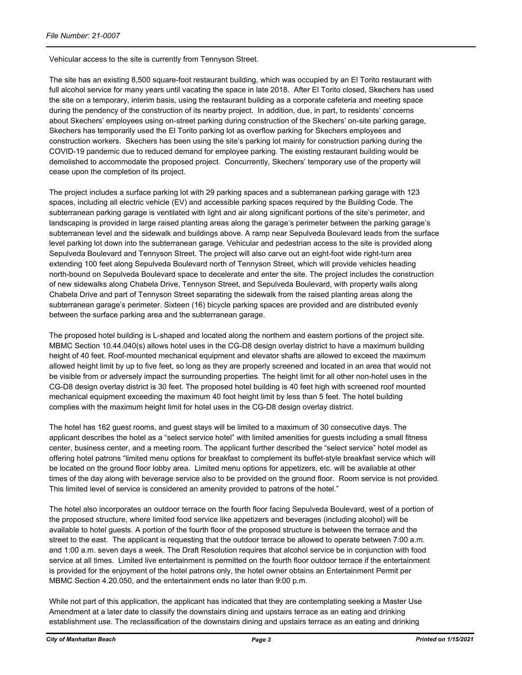Vehicular access to the site is currently from Tennyson Street.

The site has an existing 8,500 square-foot restaurant building, which was occupied by an El Torito restaurant with full alcohol service for many years until vacating the space in late 2018. After El Torito closed, Skechers has used the site on a temporary, interim basis, using the restaurant building as a corporate cafeteria and meeting space during the pendency of the construction of its nearby project. In addition, due, in part, to residents' concerns about Skechers' employees using on-street parking during construction of the Skechers' on-site parking garage, Skechers has temporarily used the El Torito parking lot as overflow parking for Skechers employees and construction workers. Skechers has been using the site's parking lot mainly for construction parking during the COVID-19 pandemic due to reduced demand for employee parking. The existing restaurant building would be demolished to accommodate the proposed project. Concurrently, Skechers' temporary use of the property will cease upon the completion of its project.

The project includes a surface parking lot with 29 parking spaces and a subterranean parking garage with 123 spaces, including all electric vehicle (EV) and accessible parking spaces required by the Building Code. The subterranean parking garage is ventilated with light and air along significant portions of the site's perimeter, and landscaping is provided in large raised planting areas along the garage's perimeter between the parking garage's subterranean level and the sidewalk and buildings above. A ramp near Sepulveda Boulevard leads from the surface level parking lot down into the subterranean garage. Vehicular and pedestrian access to the site is provided along Sepulveda Boulevard and Tennyson Street. The project will also carve out an eight-foot wide right-turn area extending 100 feet along Sepulveda Boulevard north of Tennyson Street, which will provide vehicles heading north-bound on Sepulveda Boulevard space to decelerate and enter the site. The project includes the construction of new sidewalks along Chabela Drive, Tennyson Street, and Sepulveda Boulevard, with property walls along Chabela Drive and part of Tennyson Street separating the sidewalk from the raised planting areas along the subterranean garage's perimeter. Sixteen (16) bicycle parking spaces are provided and are distributed evenly between the surface parking area and the subterranean garage.

The proposed hotel building is L-shaped and located along the northern and eastern portions of the project site. MBMC Section 10.44.040(s) allows hotel uses in the CG-D8 design overlay district to have a maximum building height of 40 feet. Roof-mounted mechanical equipment and elevator shafts are allowed to exceed the maximum allowed height limit by up to five feet, so long as they are properly screened and located in an area that would not be visible from or adversely impact the surrounding properties. The height limit for all other non-hotel uses in the CG-D8 design overlay district is 30 feet. The proposed hotel building is 40 feet high with screened roof mounted mechanical equipment exceeding the maximum 40 foot height limit by less than 5 feet. The hotel building complies with the maximum height limit for hotel uses in the CG-D8 design overlay district.

The hotel has 162 guest rooms, and guest stays will be limited to a maximum of 30 consecutive days. The applicant describes the hotel as a "select service hotel" with limited amenities for guests including a small fitness center, business center, and a meeting room. The applicant further described the "select service" hotel model as offering hotel patrons "limited menu options for breakfast to complement its buffet-style breakfast service which will be located on the ground floor lobby area. Limited menu options for appetizers, etc. will be available at other times of the day along with beverage service also to be provided on the ground floor. Room service is not provided. This limited level of service is considered an amenity provided to patrons of the hotel."

The hotel also incorporates an outdoor terrace on the fourth floor facing Sepulveda Boulevard, west of a portion of the proposed structure, where limited food service like appetizers and beverages (including alcohol) will be available to hotel guests. A portion of the fourth floor of the proposed structure is between the terrace and the street to the east. The applicant is requesting that the outdoor terrace be allowed to operate between 7:00 a.m. and 1:00 a.m. seven days a week. The Draft Resolution requires that alcohol service be in conjunction with food service at all times. Limited live entertainment is permitted on the fourth floor outdoor terrace if the entertainment is provided for the enjoyment of the hotel patrons only, the hotel owner obtains an Entertainment Permit per MBMC Section 4.20.050, and the entertainment ends no later than 9:00 p.m.

While not part of this application, the applicant has indicated that they are contemplating seeking a Master Use Amendment at a later date to classify the downstairs dining and upstairs terrace as an eating and drinking establishment use. The reclassification of the downstairs dining and upstairs terrace as an eating and drinking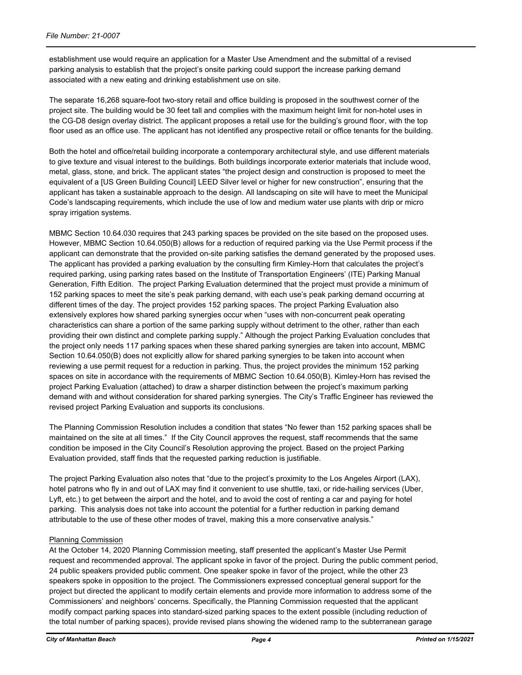establishment use would require an application for a Master Use Amendment and the submittal of a revised parking analysis to establish that the project's onsite parking could support the increase parking demand associated with a new eating and drinking establishment use on site.

The separate 16,268 square-foot two-story retail and office building is proposed in the southwest corner of the project site. The building would be 30 feet tall and complies with the maximum height limit for non-hotel uses in the CG-D8 design overlay district. The applicant proposes a retail use for the building's ground floor, with the top floor used as an office use. The applicant has not identified any prospective retail or office tenants for the building.

Both the hotel and office/retail building incorporate a contemporary architectural style, and use different materials to give texture and visual interest to the buildings. Both buildings incorporate exterior materials that include wood, metal, glass, stone, and brick. The applicant states "the project design and construction is proposed to meet the equivalent of a [US Green Building Council] LEED Silver level or higher for new construction", ensuring that the applicant has taken a sustainable approach to the design. All landscaping on site will have to meet the Municipal Code's landscaping requirements, which include the use of low and medium water use plants with drip or micro spray irrigation systems.

MBMC Section 10.64.030 requires that 243 parking spaces be provided on the site based on the proposed uses. However, MBMC Section 10.64.050(B) allows for a reduction of required parking via the Use Permit process if the applicant can demonstrate that the provided on-site parking satisfies the demand generated by the proposed uses. The applicant has provided a parking evaluation by the consulting firm Kimley-Horn that calculates the project's required parking, using parking rates based on the Institute of Transportation Engineers' (ITE) Parking Manual Generation, Fifth Edition. The project Parking Evaluation determined that the project must provide a minimum of 152 parking spaces to meet the site's peak parking demand, with each use's peak parking demand occurring at different times of the day. The project provides 152 parking spaces. The project Parking Evaluation also extensively explores how shared parking synergies occur when "uses with non-concurrent peak operating characteristics can share a portion of the same parking supply without detriment to the other, rather than each providing their own distinct and complete parking supply." Although the project Parking Evaluation concludes that the project only needs 117 parking spaces when these shared parking synergies are taken into account, MBMC Section 10.64.050(B) does not explicitly allow for shared parking synergies to be taken into account when reviewing a use permit request for a reduction in parking. Thus, the project provides the minimum 152 parking spaces on site in accordance with the requirements of MBMC Section 10.64.050(B). Kimley-Horn has revised the project Parking Evaluation (attached) to draw a sharper distinction between the project's maximum parking demand with and without consideration for shared parking synergies. The City's Traffic Engineer has reviewed the revised project Parking Evaluation and supports its conclusions.

The Planning Commission Resolution includes a condition that states "No fewer than 152 parking spaces shall be maintained on the site at all times." If the City Council approves the request, staff recommends that the same condition be imposed in the City Council's Resolution approving the project. Based on the project Parking Evaluation provided, staff finds that the requested parking reduction is justifiable.

The project Parking Evaluation also notes that "due to the project's proximity to the Los Angeles Airport (LAX), hotel patrons who fly in and out of LAX may find it convenient to use shuttle, taxi, or ride-hailing services (Uber, Lyft, etc.) to get between the airport and the hotel, and to avoid the cost of renting a car and paying for hotel parking. This analysis does not take into account the potential for a further reduction in parking demand attributable to the use of these other modes of travel, making this a more conservative analysis."

#### Planning Commission

At the October 14, 2020 Planning Commission meeting, staff presented the applicant's Master Use Permit request and recommended approval. The applicant spoke in favor of the project. During the public comment period, 24 public speakers provided public comment. One speaker spoke in favor of the project, while the other 23 speakers spoke in opposition to the project. The Commissioners expressed conceptual general support for the project but directed the applicant to modify certain elements and provide more information to address some of the Commissioners' and neighbors' concerns. Specifically, the Planning Commission requested that the applicant modify compact parking spaces into standard-sized parking spaces to the extent possible (including reduction of the total number of parking spaces), provide revised plans showing the widened ramp to the subterranean garage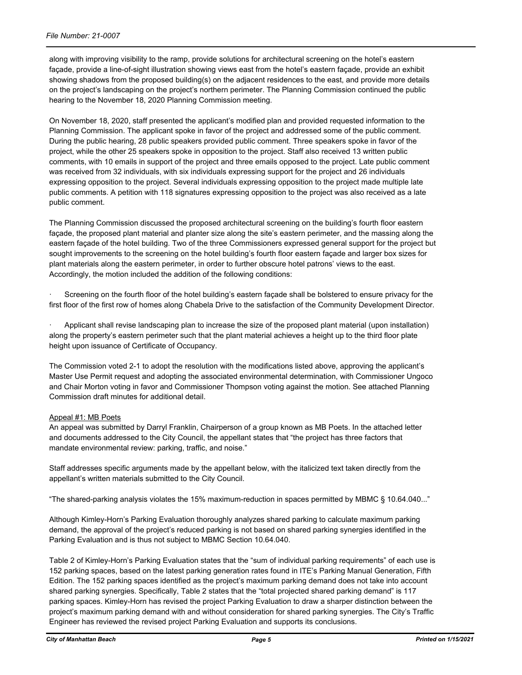along with improving visibility to the ramp, provide solutions for architectural screening on the hotel's eastern façade, provide a line-of-sight illustration showing views east from the hotel's eastern façade, provide an exhibit showing shadows from the proposed building(s) on the adjacent residences to the east, and provide more details on the project's landscaping on the project's northern perimeter. The Planning Commission continued the public hearing to the November 18, 2020 Planning Commission meeting.

On November 18, 2020, staff presented the applicant's modified plan and provided requested information to the Planning Commission. The applicant spoke in favor of the project and addressed some of the public comment. During the public hearing, 28 public speakers provided public comment. Three speakers spoke in favor of the project, while the other 25 speakers spoke in opposition to the project. Staff also received 13 written public comments, with 10 emails in support of the project and three emails opposed to the project. Late public comment was received from 32 individuals, with six individuals expressing support for the project and 26 individuals expressing opposition to the project. Several individuals expressing opposition to the project made multiple late public comments. A petition with 118 signatures expressing opposition to the project was also received as a late public comment.

The Planning Commission discussed the proposed architectural screening on the building's fourth floor eastern façade, the proposed plant material and planter size along the site's eastern perimeter, and the massing along the eastern façade of the hotel building. Two of the three Commissioners expressed general support for the project but sought improvements to the screening on the hotel building's fourth floor eastern façade and larger box sizes for plant materials along the eastern perimeter, in order to further obscure hotel patrons' views to the east. Accordingly, the motion included the addition of the following conditions:

Screening on the fourth floor of the hotel building's eastern façade shall be bolstered to ensure privacy for the first floor of the first row of homes along Chabela Drive to the satisfaction of the Community Development Director.

· Applicant shall revise landscaping plan to increase the size of the proposed plant material (upon installation) along the property's eastern perimeter such that the plant material achieves a height up to the third floor plate height upon issuance of Certificate of Occupancy.

The Commission voted 2-1 to adopt the resolution with the modifications listed above, approving the applicant's Master Use Permit request and adopting the associated environmental determination, with Commissioner Ungoco and Chair Morton voting in favor and Commissioner Thompson voting against the motion. See attached Planning Commission draft minutes for additional detail.

#### Appeal #1: MB Poets

An appeal was submitted by Darryl Franklin, Chairperson of a group known as MB Poets. In the attached letter and documents addressed to the City Council, the appellant states that "the project has three factors that mandate environmental review: parking, traffic, and noise."

Staff addresses specific arguments made by the appellant below, with the italicized text taken directly from the appellant's written materials submitted to the City Council.

"The shared-parking analysis violates the 15% maximum-reduction in spaces permitted by MBMC § 10.64.040..."

Although Kimley-Horn's Parking Evaluation thoroughly analyzes shared parking to calculate maximum parking demand, the approval of the project's reduced parking is not based on shared parking synergies identified in the Parking Evaluation and is thus not subject to MBMC Section 10.64.040.

Table 2 of Kimley-Horn's Parking Evaluation states that the "sum of individual parking requirements" of each use is 152 parking spaces, based on the latest parking generation rates found in ITE's Parking Manual Generation, Fifth Edition. The 152 parking spaces identified as the project's maximum parking demand does not take into account shared parking synergies. Specifically, Table 2 states that the "total projected shared parking demand" is 117 parking spaces. Kimley-Horn has revised the project Parking Evaluation to draw a sharper distinction between the project's maximum parking demand with and without consideration for shared parking synergies. The City's Traffic Engineer has reviewed the revised project Parking Evaluation and supports its conclusions.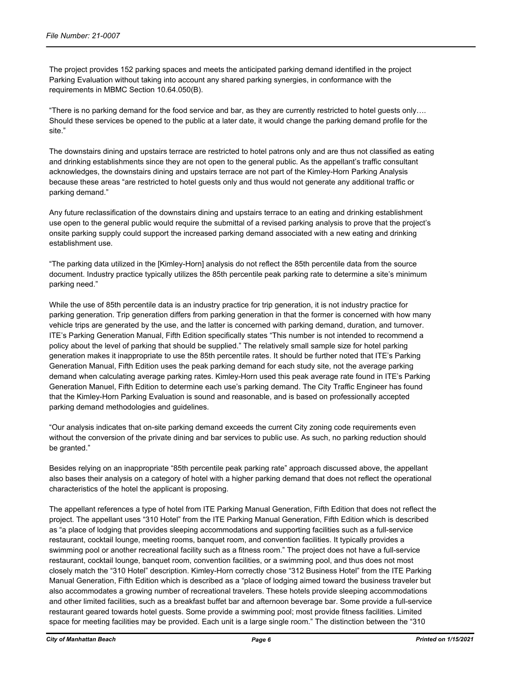The project provides 152 parking spaces and meets the anticipated parking demand identified in the project Parking Evaluation without taking into account any shared parking synergies, in conformance with the requirements in MBMC Section 10.64.050(B).

"There is no parking demand for the food service and bar, as they are currently restricted to hotel guests only…. Should these services be opened to the public at a later date, it would change the parking demand profile for the site."

The downstairs dining and upstairs terrace are restricted to hotel patrons only and are thus not classified as eating and drinking establishments since they are not open to the general public. As the appellant's traffic consultant acknowledges, the downstairs dining and upstairs terrace are not part of the Kimley-Horn Parking Analysis because these areas "are restricted to hotel guests only and thus would not generate any additional traffic or parking demand."

Any future reclassification of the downstairs dining and upstairs terrace to an eating and drinking establishment use open to the general public would require the submittal of a revised parking analysis to prove that the project's onsite parking supply could support the increased parking demand associated with a new eating and drinking establishment use.

"The parking data utilized in the [Kimley-Horn] analysis do not reflect the 85th percentile data from the source document. Industry practice typically utilizes the 85th percentile peak parking rate to determine a site's minimum parking need."

While the use of 85th percentile data is an industry practice for trip generation, it is not industry practice for parking generation. Trip generation differs from parking generation in that the former is concerned with how many vehicle trips are generated by the use, and the latter is concerned with parking demand, duration, and turnover. ITE's Parking Generation Manual, Fifth Edition specifically states "This number is not intended to recommend a policy about the level of parking that should be supplied." The relatively small sample size for hotel parking generation makes it inappropriate to use the 85th percentile rates. It should be further noted that ITE's Parking Generation Manual, Fifth Edition uses the peak parking demand for each study site, not the average parking demand when calculating average parking rates. Kimley-Horn used this peak average rate found in ITE's Parking Generation Manuel, Fifth Edition to determine each use's parking demand. The City Traffic Engineer has found that the Kimley-Horn Parking Evaluation is sound and reasonable, and is based on professionally accepted parking demand methodologies and guidelines.

"Our analysis indicates that on-site parking demand exceeds the current City zoning code requirements even without the conversion of the private dining and bar services to public use. As such, no parking reduction should be granted."

Besides relying on an inappropriate "85th percentile peak parking rate" approach discussed above, the appellant also bases their analysis on a category of hotel with a higher parking demand that does not reflect the operational characteristics of the hotel the applicant is proposing.

The appellant references a type of hotel from ITE Parking Manual Generation, Fifth Edition that does not reflect the project. The appellant uses "310 Hotel" from the ITE Parking Manual Generation, Fifth Edition which is described as "a place of lodging that provides sleeping accommodations and supporting facilities such as a full-service restaurant, cocktail lounge, meeting rooms, banquet room, and convention facilities. It typically provides a swimming pool or another recreational facility such as a fitness room." The project does not have a full-service restaurant, cocktail lounge, banquet room, convention facilities, or a swimming pool, and thus does not most closely match the "310 Hotel" description. Kimley-Horn correctly chose "312 Business Hotel" from the ITE Parking Manual Generation, Fifth Edition which is described as a "place of lodging aimed toward the business traveler but also accommodates a growing number of recreational travelers. These hotels provide sleeping accommodations and other limited facilities, such as a breakfast buffet bar and afternoon beverage bar. Some provide a full-service restaurant geared towards hotel guests. Some provide a swimming pool; most provide fitness facilities. Limited space for meeting facilities may be provided. Each unit is a large single room." The distinction between the "310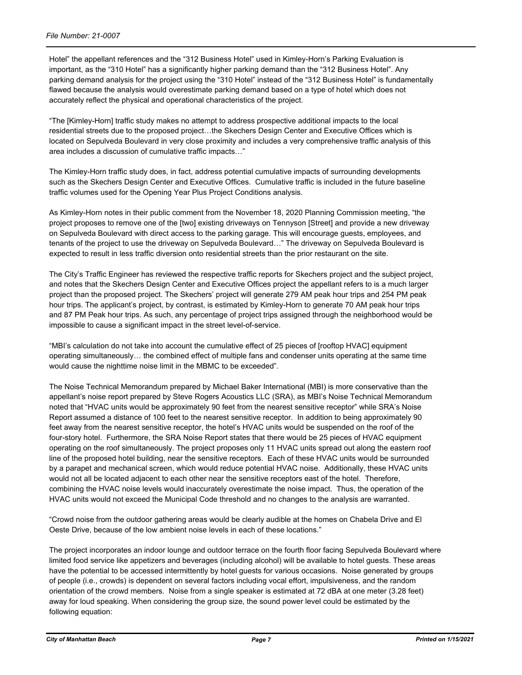Hotel" the appellant references and the "312 Business Hotel" used in Kimley-Horn's Parking Evaluation is important, as the "310 Hotel" has a significantly higher parking demand than the "312 Business Hotel". Any parking demand analysis for the project using the "310 Hotel" instead of the "312 Business Hotel" is fundamentally flawed because the analysis would overestimate parking demand based on a type of hotel which does not accurately reflect the physical and operational characteristics of the project.

"The [Kimley-Horn] traffic study makes no attempt to address prospective additional impacts to the local residential streets due to the proposed project…the Skechers Design Center and Executive Offices which is located on Sepulveda Boulevard in very close proximity and includes a very comprehensive traffic analysis of this area includes a discussion of cumulative traffic impacts…"

The Kimley-Horn traffic study does, in fact, address potential cumulative impacts of surrounding developments such as the Skechers Design Center and Executive Offices. Cumulative traffic is included in the future baseline traffic volumes used for the Opening Year Plus Project Conditions analysis.

As Kimley-Horn notes in their public comment from the November 18, 2020 Planning Commission meeting, "the project proposes to remove one of the [two] existing driveways on Tennyson [Street] and provide a new driveway on Sepulveda Boulevard with direct access to the parking garage. This will encourage guests, employees, and tenants of the project to use the driveway on Sepulveda Boulevard…" The driveway on Sepulveda Boulevard is expected to result in less traffic diversion onto residential streets than the prior restaurant on the site.

The City's Traffic Engineer has reviewed the respective traffic reports for Skechers project and the subject project, and notes that the Skechers Design Center and Executive Offices project the appellant refers to is a much larger project than the proposed project. The Skechers' project will generate 279 AM peak hour trips and 254 PM peak hour trips. The applicant's project, by contrast, is estimated by Kimley-Horn to generate 70 AM peak hour trips and 87 PM Peak hour trips. As such, any percentage of project trips assigned through the neighborhood would be impossible to cause a significant impact in the street level-of-service.

"MBI's calculation do not take into account the cumulative effect of 25 pieces of [rooftop HVAC] equipment operating simultaneously… the combined effect of multiple fans and condenser units operating at the same time would cause the nighttime noise limit in the MBMC to be exceeded".

The Noise Technical Memorandum prepared by Michael Baker International (MBI) is more conservative than the appellant's noise report prepared by Steve Rogers Acoustics LLC (SRA), as MBI's Noise Technical Memorandum noted that "HVAC units would be approximately 90 feet from the nearest sensitive receptor" while SRA's Noise Report assumed a distance of 100 feet to the nearest sensitive receptor. In addition to being approximately 90 feet away from the nearest sensitive receptor, the hotel's HVAC units would be suspended on the roof of the four-story hotel. Furthermore, the SRA Noise Report states that there would be 25 pieces of HVAC equipment operating on the roof simultaneously. The project proposes only 11 HVAC units spread out along the eastern roof line of the proposed hotel building, near the sensitive receptors. Each of these HVAC units would be surrounded by a parapet and mechanical screen, which would reduce potential HVAC noise. Additionally, these HVAC units would not all be located adjacent to each other near the sensitive receptors east of the hotel. Therefore, combining the HVAC noise levels would inaccurately overestimate the noise impact. Thus, the operation of the HVAC units would not exceed the Municipal Code threshold and no changes to the analysis are warranted.

"Crowd noise from the outdoor gathering areas would be clearly audible at the homes on Chabela Drive and El Oeste Drive, because of the low ambient noise levels in each of these locations."

The project incorporates an indoor lounge and outdoor terrace on the fourth floor facing Sepulveda Boulevard where limited food service like appetizers and beverages (including alcohol) will be available to hotel guests. These areas have the potential to be accessed intermittently by hotel guests for various occasions. Noise generated by groups of people (i.e., crowds) is dependent on several factors including vocal effort, impulsiveness, and the random orientation of the crowd members. Noise from a single speaker is estimated at 72 dBA at one meter (3.28 feet) away for loud speaking. When considering the group size, the sound power level could be estimated by the following equation: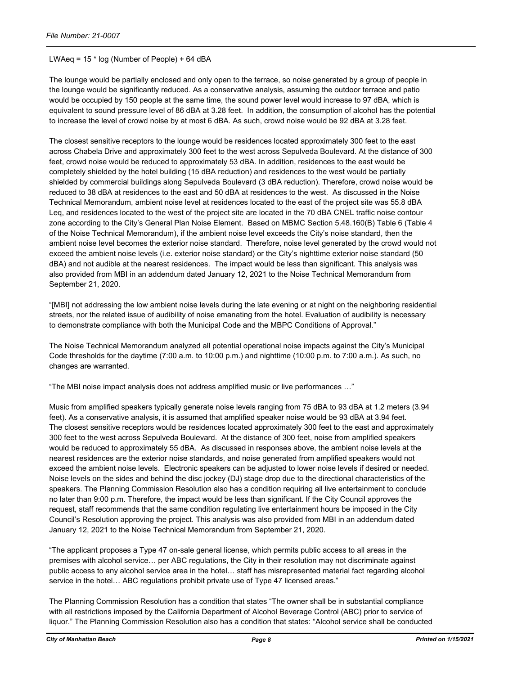#### LWAeq = 15 \* log (Number of People) + 64 dBA

The lounge would be partially enclosed and only open to the terrace, so noise generated by a group of people in the lounge would be significantly reduced. As a conservative analysis, assuming the outdoor terrace and patio would be occupied by 150 people at the same time, the sound power level would increase to 97 dBA, which is equivalent to sound pressure level of 86 dBA at 3.28 feet. In addition, the consumption of alcohol has the potential to increase the level of crowd noise by at most 6 dBA. As such, crowd noise would be 92 dBA at 3.28 feet.

The closest sensitive receptors to the lounge would be residences located approximately 300 feet to the east across Chabela Drive and approximately 300 feet to the west across Sepulveda Boulevard. At the distance of 300 feet, crowd noise would be reduced to approximately 53 dBA. In addition, residences to the east would be completely shielded by the hotel building (15 dBA reduction) and residences to the west would be partially shielded by commercial buildings along Sepulveda Boulevard (3 dBA reduction). Therefore, crowd noise would be reduced to 38 dBA at residences to the east and 50 dBA at residences to the west. As discussed in the Noise Technical Memorandum, ambient noise level at residences located to the east of the project site was 55.8 dBA Leq, and residences located to the west of the project site are located in the 70 dBA CNEL traffic noise contour zone according to the City's General Plan Noise Element. Based on MBMC Section 5.48.160(B) Table 6 (Table 4 of the Noise Technical Memorandum), if the ambient noise level exceeds the City's noise standard, then the ambient noise level becomes the exterior noise standard. Therefore, noise level generated by the crowd would not exceed the ambient noise levels (i.e. exterior noise standard) or the City's nighttime exterior noise standard (50 dBA) and not audible at the nearest residences. The impact would be less than significant. This analysis was also provided from MBI in an addendum dated January 12, 2021 to the Noise Technical Memorandum from September 21, 2020.

"[MBI] not addressing the low ambient noise levels during the late evening or at night on the neighboring residential streets, nor the related issue of audibility of noise emanating from the hotel. Evaluation of audibility is necessary to demonstrate compliance with both the Municipal Code and the MBPC Conditions of Approval."

The Noise Technical Memorandum analyzed all potential operational noise impacts against the City's Municipal Code thresholds for the daytime (7:00 a.m. to 10:00 p.m.) and nighttime (10:00 p.m. to 7:00 a.m.). As such, no changes are warranted.

"The MBI noise impact analysis does not address amplified music or live performances …"

Music from amplified speakers typically generate noise levels ranging from 75 dBA to 93 dBA at 1.2 meters (3.94 feet). As a conservative analysis, it is assumed that amplified speaker noise would be 93 dBA at 3.94 feet. The closest sensitive receptors would be residences located approximately 300 feet to the east and approximately 300 feet to the west across Sepulveda Boulevard. At the distance of 300 feet, noise from amplified speakers would be reduced to approximately 55 dBA. As discussed in responses above, the ambient noise levels at the nearest residences are the exterior noise standards, and noise generated from amplified speakers would not exceed the ambient noise levels. Electronic speakers can be adjusted to lower noise levels if desired or needed. Noise levels on the sides and behind the disc jockey (DJ) stage drop due to the directional characteristics of the speakers. The Planning Commission Resolution also has a condition requiring all live entertainment to conclude no later than 9:00 p.m. Therefore, the impact would be less than significant. If the City Council approves the request, staff recommends that the same condition regulating live entertainment hours be imposed in the City Council's Resolution approving the project. This analysis was also provided from MBI in an addendum dated January 12, 2021 to the Noise Technical Memorandum from September 21, 2020.

"The applicant proposes a Type 47 on-sale general license, which permits public access to all areas in the premises with alcohol service… per ABC regulations, the City in their resolution may not discriminate against public access to any alcohol service area in the hotel… staff has misrepresented material fact regarding alcohol service in the hotel… ABC regulations prohibit private use of Type 47 licensed areas."

The Planning Commission Resolution has a condition that states "The owner shall be in substantial compliance with all restrictions imposed by the California Department of Alcohol Beverage Control (ABC) prior to service of liquor." The Planning Commission Resolution also has a condition that states: "Alcohol service shall be conducted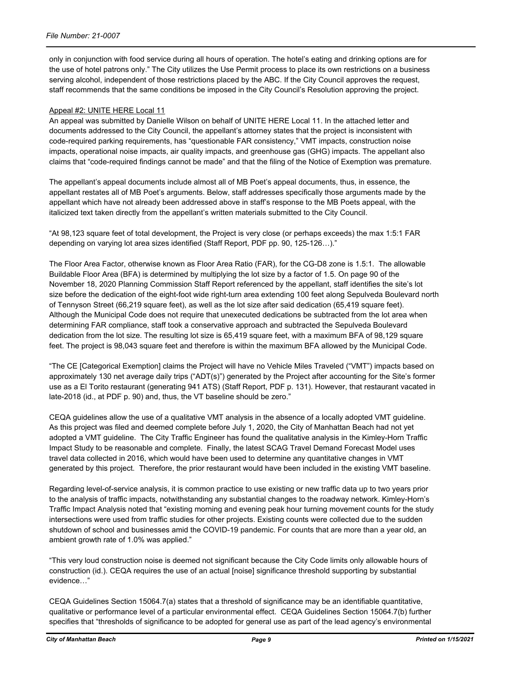only in conjunction with food service during all hours of operation. The hotel's eating and drinking options are for the use of hotel patrons only." The City utilizes the Use Permit process to place its own restrictions on a business serving alcohol, independent of those restrictions placed by the ABC. If the City Council approves the request, staff recommends that the same conditions be imposed in the City Council's Resolution approving the project.

#### Appeal #2: UNITE HERE Local 11

An appeal was submitted by Danielle Wilson on behalf of UNITE HERE Local 11. In the attached letter and documents addressed to the City Council, the appellant's attorney states that the project is inconsistent with code-required parking requirements, has "questionable FAR consistency," VMT impacts, construction noise impacts, operational noise impacts, air quality impacts, and greenhouse gas (GHG) impacts. The appellant also claims that "code-required findings cannot be made" and that the filing of the Notice of Exemption was premature.

The appellant's appeal documents include almost all of MB Poet's appeal documents, thus, in essence, the appellant restates all of MB Poet's arguments. Below, staff addresses specifically those arguments made by the appellant which have not already been addressed above in staff's response to the MB Poets appeal, with the italicized text taken directly from the appellant's written materials submitted to the City Council.

"At 98,123 square feet of total development, the Project is very close (or perhaps exceeds) the max 1:5:1 FAR depending on varying lot area sizes identified (Staff Report, PDF pp. 90, 125-126…)."

The Floor Area Factor, otherwise known as Floor Area Ratio (FAR), for the CG-D8 zone is 1.5:1. The allowable Buildable Floor Area (BFA) is determined by multiplying the lot size by a factor of 1.5. On page 90 of the November 18, 2020 Planning Commission Staff Report referenced by the appellant, staff identifies the site's lot size before the dedication of the eight-foot wide right-turn area extending 100 feet along Sepulveda Boulevard north of Tennyson Street (66,219 square feet), as well as the lot size after said dedication (65,419 square feet). Although the Municipal Code does not require that unexecuted dedications be subtracted from the lot area when determining FAR compliance, staff took a conservative approach and subtracted the Sepulveda Boulevard dedication from the lot size. The resulting lot size is 65,419 square feet, with a maximum BFA of 98,129 square feet. The project is 98,043 square feet and therefore is within the maximum BFA allowed by the Municipal Code.

"The CE [Categorical Exemption] claims the Project will have no Vehicle Miles Traveled ("VMT") impacts based on approximately 130 net average daily trips ("ADT(s)") generated by the Project after accounting for the Site's former use as a El Torito restaurant (generating 941 ATS) (Staff Report, PDF p. 131). However, that restaurant vacated in late-2018 (id., at PDF p. 90) and, thus, the VT baseline should be zero."

CEQA guidelines allow the use of a qualitative VMT analysis in the absence of a locally adopted VMT guideline. As this project was filed and deemed complete before July 1, 2020, the City of Manhattan Beach had not yet adopted a VMT guideline. The City Traffic Engineer has found the qualitative analysis in the Kimley-Horn Traffic Impact Study to be reasonable and complete. Finally, the latest SCAG Travel Demand Forecast Model uses travel data collected in 2016, which would have been used to determine any quantitative changes in VMT generated by this project. Therefore, the prior restaurant would have been included in the existing VMT baseline.

Regarding level-of-service analysis, it is common practice to use existing or new traffic data up to two years prior to the analysis of traffic impacts, notwithstanding any substantial changes to the roadway network. Kimley-Horn's Traffic Impact Analysis noted that "existing morning and evening peak hour turning movement counts for the study intersections were used from traffic studies for other projects. Existing counts were collected due to the sudden shutdown of school and businesses amid the COVID-19 pandemic. For counts that are more than a year old, an ambient growth rate of 1.0% was applied."

"This very loud construction noise is deemed not significant because the City Code limits only allowable hours of construction (id.). CEQA requires the use of an actual [noise] significance threshold supporting by substantial evidence…"

CEQA Guidelines Section 15064.7(a) states that a threshold of significance may be an identifiable quantitative, qualitative or performance level of a particular environmental effect. CEQA Guidelines Section 15064.7(b) further specifies that "thresholds of significance to be adopted for general use as part of the lead agency's environmental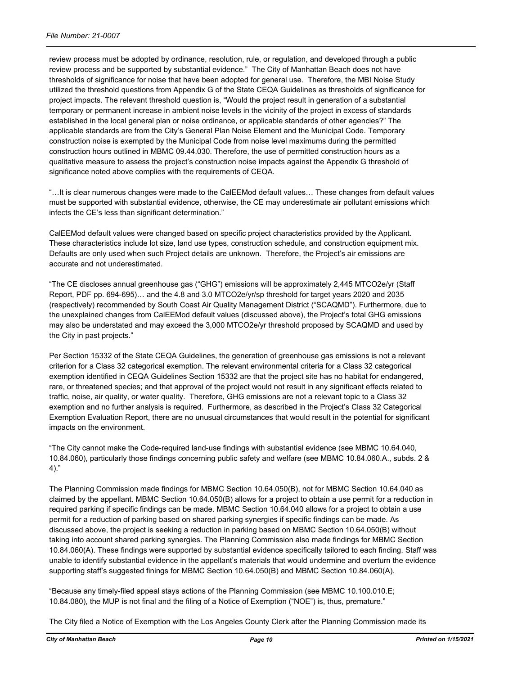review process must be adopted by ordinance, resolution, rule, or regulation, and developed through a public review process and be supported by substantial evidence." The City of Manhattan Beach does not have thresholds of significance for noise that have been adopted for general use. Therefore, the MBI Noise Study utilized the threshold questions from Appendix G of the State CEQA Guidelines as thresholds of significance for project impacts. The relevant threshold question is, "Would the project result in generation of a substantial temporary or permanent increase in ambient noise levels in the vicinity of the project in excess of standards established in the local general plan or noise ordinance, or applicable standards of other agencies?" The applicable standards are from the City's General Plan Noise Element and the Municipal Code. Temporary construction noise is exempted by the Municipal Code from noise level maximums during the permitted construction hours outlined in MBMC 09.44.030. Therefore, the use of permitted construction hours as a qualitative measure to assess the project's construction noise impacts against the Appendix G threshold of significance noted above complies with the requirements of CEQA.

"…It is clear numerous changes were made to the CalEEMod default values… These changes from default values must be supported with substantial evidence, otherwise, the CE may underestimate air pollutant emissions which infects the CE's less than significant determination."

CalEEMod default values were changed based on specific project characteristics provided by the Applicant. These characteristics include lot size, land use types, construction schedule, and construction equipment mix. Defaults are only used when such Project details are unknown. Therefore, the Project's air emissions are accurate and not underestimated.

"The CE discloses annual greenhouse gas ("GHG") emissions will be approximately 2,445 MTCO2e/yr (Staff Report, PDF pp. 694-695)… and the 4.8 and 3.0 MTCO2e/yr/sp threshold for target years 2020 and 2035 (respectively) recommended by South Coast Air Quality Management District ("SCAQMD"). Furthermore, due to the unexplained changes from CalEEMod default values (discussed above), the Project's total GHG emissions may also be understated and may exceed the 3,000 MTCO2e/yr threshold proposed by SCAQMD and used by the City in past projects."

Per Section 15332 of the State CEQA Guidelines, the generation of greenhouse gas emissions is not a relevant criterion for a Class 32 categorical exemption. The relevant environmental criteria for a Class 32 categorical exemption identified in CEQA Guidelines Section 15332 are that the project site has no habitat for endangered, rare, or threatened species; and that approval of the project would not result in any significant effects related to traffic, noise, air quality, or water quality. Therefore, GHG emissions are not a relevant topic to a Class 32 exemption and no further analysis is required. Furthermore, as described in the Project's Class 32 Categorical Exemption Evaluation Report, there are no unusual circumstances that would result in the potential for significant impacts on the environment.

"The City cannot make the Code-required land-use findings with substantial evidence (see MBMC 10.64.040, 10.84.060), particularly those findings concerning public safety and welfare (see MBMC 10.84.060.A., subds. 2 & 4)."

The Planning Commission made findings for MBMC Section 10.64.050(B), not for MBMC Section 10.64.040 as claimed by the appellant. MBMC Section 10.64.050(B) allows for a project to obtain a use permit for a reduction in required parking if specific findings can be made. MBMC Section 10.64.040 allows for a project to obtain a use permit for a reduction of parking based on shared parking synergies if specific findings can be made. As discussed above, the project is seeking a reduction in parking based on MBMC Section 10.64.050(B) without taking into account shared parking synergies. The Planning Commission also made findings for MBMC Section 10.84.060(A). These findings were supported by substantial evidence specifically tailored to each finding. Staff was unable to identify substantial evidence in the appellant's materials that would undermine and overturn the evidence supporting staff's suggested finings for MBMC Section 10.64.050(B) and MBMC Section 10.84.060(A).

"Because any timely-filed appeal stays actions of the Planning Commission (see MBMC 10.100.010.E; 10.84.080), the MUP is not final and the filing of a Notice of Exemption ("NOE") is, thus, premature."

The City filed a Notice of Exemption with the Los Angeles County Clerk after the Planning Commission made its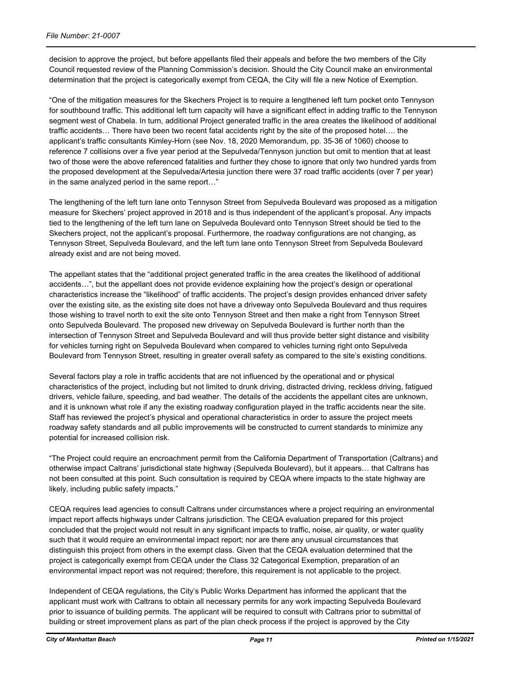decision to approve the project, but before appellants filed their appeals and before the two members of the City Council requested review of the Planning Commission's decision. Should the City Council make an environmental determination that the project is categorically exempt from CEQA, the City will file a new Notice of Exemption.

"One of the mitigation measures for the Skechers Project is to require a lengthened left turn pocket onto Tennyson for southbound traffic. This additional left turn capacity will have a significant effect in adding traffic to the Tennyson segment west of Chabela. In turn, additional Project generated traffic in the area creates the likelihood of additional traffic accidents… There have been two recent fatal accidents right by the site of the proposed hotel…. the applicant's traffic consultants Kimley-Horn (see Nov. 18, 2020 Memorandum, pp. 35-36 of 1060) choose to reference 7 collisions over a five year period at the Sepulveda/Tennyson junction but omit to mention that at least two of those were the above referenced fatalities and further they chose to ignore that only two hundred yards from the proposed development at the Sepulveda/Artesia junction there were 37 road traffic accidents (over 7 per year) in the same analyzed period in the same report…"

The lengthening of the left turn lane onto Tennyson Street from Sepulveda Boulevard was proposed as a mitigation measure for Skechers' project approved in 2018 and is thus independent of the applicant's proposal. Any impacts tied to the lengthening of the left turn lane on Sepulveda Boulevard onto Tennyson Street should be tied to the Skechers project, not the applicant's proposal. Furthermore, the roadway configurations are not changing, as Tennyson Street, Sepulveda Boulevard, and the left turn lane onto Tennyson Street from Sepulveda Boulevard already exist and are not being moved.

The appellant states that the "additional project generated traffic in the area creates the likelihood of additional accidents…", but the appellant does not provide evidence explaining how the project's design or operational characteristics increase the "likelihood" of traffic accidents. The project's design provides enhanced driver safety over the existing site, as the existing site does not have a driveway onto Sepulveda Boulevard and thus requires those wishing to travel north to exit the site onto Tennyson Street and then make a right from Tennyson Street onto Sepulveda Boulevard. The proposed new driveway on Sepulveda Boulevard is further north than the intersection of Tennyson Street and Sepulveda Boulevard and will thus provide better sight distance and visibility for vehicles turning right on Sepulveda Boulevard when compared to vehicles turning right onto Sepulveda Boulevard from Tennyson Street, resulting in greater overall safety as compared to the site's existing conditions.

Several factors play a role in traffic accidents that are not influenced by the operational and or physical characteristics of the project, including but not limited to drunk driving, distracted driving, reckless driving, fatigued drivers, vehicle failure, speeding, and bad weather. The details of the accidents the appellant cites are unknown, and it is unknown what role if any the existing roadway configuration played in the traffic accidents near the site. Staff has reviewed the project's physical and operational characteristics in order to assure the project meets roadway safety standards and all public improvements will be constructed to current standards to minimize any potential for increased collision risk.

"The Project could require an encroachment permit from the California Department of Transportation (Caltrans) and otherwise impact Caltrans' jurisdictional state highway (Sepulveda Boulevard), but it appears… that Caltrans has not been consulted at this point. Such consultation is required by CEQA where impacts to the state highway are likely, including public safety impacts."

CEQA requires lead agencies to consult Caltrans under circumstances where a project requiring an environmental impact report affects highways under Caltrans jurisdiction. The CEQA evaluation prepared for this project concluded that the project would not result in any significant impacts to traffic, noise, air quality, or water quality such that it would require an environmental impact report; nor are there any unusual circumstances that distinguish this project from others in the exempt class. Given that the CEQA evaluation determined that the project is categorically exempt from CEQA under the Class 32 Categorical Exemption, preparation of an environmental impact report was not required; therefore, this requirement is not applicable to the project.

Independent of CEQA regulations, the City's Public Works Department has informed the applicant that the applicant must work with Caltrans to obtain all necessary permits for any work impacting Sepulveda Boulevard prior to issuance of building permits. The applicant will be required to consult with Caltrans prior to submittal of building or street improvement plans as part of the plan check process if the project is approved by the City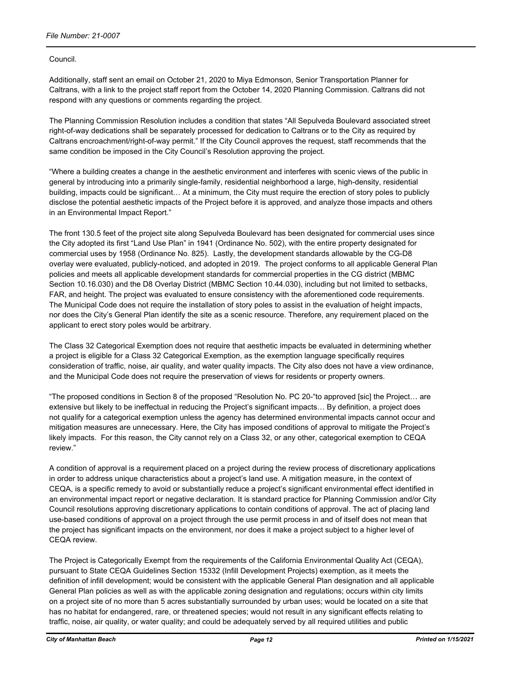#### Council.

Additionally, staff sent an email on October 21, 2020 to Miya Edmonson, Senior Transportation Planner for Caltrans, with a link to the project staff report from the October 14, 2020 Planning Commission. Caltrans did not respond with any questions or comments regarding the project.

The Planning Commission Resolution includes a condition that states "All Sepulveda Boulevard associated street right-of-way dedications shall be separately processed for dedication to Caltrans or to the City as required by Caltrans encroachment/right-of-way permit." If the City Council approves the request, staff recommends that the same condition be imposed in the City Council's Resolution approving the project.

"Where a building creates a change in the aesthetic environment and interferes with scenic views of the public in general by introducing into a primarily single-family, residential neighborhood a large, high-density, residential building, impacts could be significant… At a minimum, the City must require the erection of story poles to publicly disclose the potential aesthetic impacts of the Project before it is approved, and analyze those impacts and others in an Environmental Impact Report."

The front 130.5 feet of the project site along Sepulveda Boulevard has been designated for commercial uses since the City adopted its first "Land Use Plan" in 1941 (Ordinance No. 502), with the entire property designated for commercial uses by 1958 (Ordinance No. 825). Lastly, the development standards allowable by the CG-D8 overlay were evaluated, publicly-noticed, and adopted in 2019. The project conforms to all applicable General Plan policies and meets all applicable development standards for commercial properties in the CG district (MBMC Section 10.16.030) and the D8 Overlay District (MBMC Section 10.44.030), including but not limited to setbacks, FAR, and height. The project was evaluated to ensure consistency with the aforementioned code requirements. The Municipal Code does not require the installation of story poles to assist in the evaluation of height impacts, nor does the City's General Plan identify the site as a scenic resource. Therefore, any requirement placed on the applicant to erect story poles would be arbitrary.

The Class 32 Categorical Exemption does not require that aesthetic impacts be evaluated in determining whether a project is eligible for a Class 32 Categorical Exemption, as the exemption language specifically requires consideration of traffic, noise, air quality, and water quality impacts. The City also does not have a view ordinance, and the Municipal Code does not require the preservation of views for residents or property owners.

"The proposed conditions in Section 8 of the proposed "Resolution No. PC 20-"to approved [sic] the Project… are extensive but likely to be ineffectual in reducing the Project's significant impacts… By definition, a project does not qualify for a categorical exemption unless the agency has determined environmental impacts cannot occur and mitigation measures are unnecessary. Here, the City has imposed conditions of approval to mitigate the Project's likely impacts. For this reason, the City cannot rely on a Class 32, or any other, categorical exemption to CEQA review."

A condition of approval is a requirement placed on a project during the review process of discretionary applications in order to address unique characteristics about a project's land use. A mitigation measure, in the context of CEQA, is a specific remedy to avoid or substantially reduce a project's significant environmental effect identified in an environmental impact report or negative declaration. It is standard practice for Planning Commission and/or City Council resolutions approving discretionary applications to contain conditions of approval. The act of placing land use-based conditions of approval on a project through the use permit process in and of itself does not mean that the project has significant impacts on the environment, nor does it make a project subject to a higher level of CEQA review.

The Project is Categorically Exempt from the requirements of the California Environmental Quality Act (CEQA), pursuant to State CEQA Guidelines Section 15332 (Infill Development Projects) exemption, as it meets the definition of infill development; would be consistent with the applicable General Plan designation and all applicable General Plan policies as well as with the applicable zoning designation and regulations; occurs within city limits on a project site of no more than 5 acres substantially surrounded by urban uses; would be located on a site that has no habitat for endangered, rare, or threatened species; would not result in any significant effects relating to traffic, noise, air quality, or water quality; and could be adequately served by all required utilities and public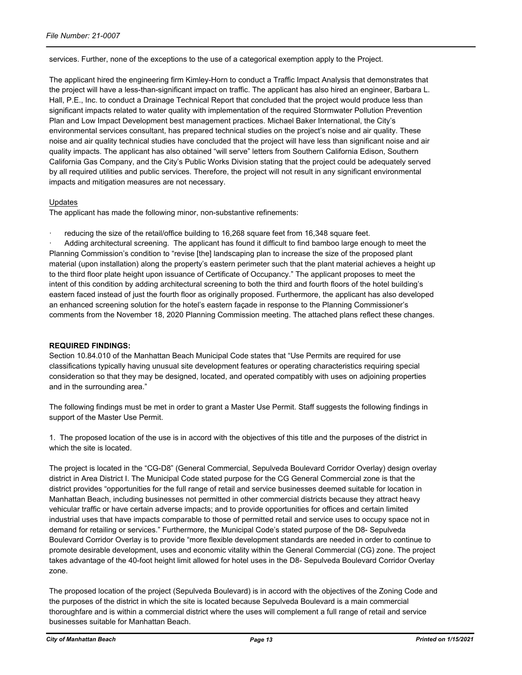services. Further, none of the exceptions to the use of a categorical exemption apply to the Project.

The applicant hired the engineering firm Kimley-Horn to conduct a Traffic Impact Analysis that demonstrates that the project will have a less-than-significant impact on traffic. The applicant has also hired an engineer, Barbara L. Hall, P.E., Inc. to conduct a Drainage Technical Report that concluded that the project would produce less than significant impacts related to water quality with implementation of the required Stormwater Pollution Prevention Plan and Low Impact Development best management practices. Michael Baker International, the City's environmental services consultant, has prepared technical studies on the project's noise and air quality. These noise and air quality technical studies have concluded that the project will have less than significant noise and air quality impacts. The applicant has also obtained "will serve" letters from Southern California Edison, Southern California Gas Company, and the City's Public Works Division stating that the project could be adequately served by all required utilities and public services. Therefore, the project will not result in any significant environmental impacts and mitigation measures are not necessary.

#### Updates

The applicant has made the following minor, non-substantive refinements:

reducing the size of the retail/office building to 16,268 square feet from 16,348 square feet.

· Adding architectural screening. The applicant has found it difficult to find bamboo large enough to meet the Planning Commission's condition to "revise [the] landscaping plan to increase the size of the proposed plant material (upon installation) along the property's eastern perimeter such that the plant material achieves a height up to the third floor plate height upon issuance of Certificate of Occupancy." The applicant proposes to meet the intent of this condition by adding architectural screening to both the third and fourth floors of the hotel building's eastern faced instead of just the fourth floor as originally proposed. Furthermore, the applicant has also developed an enhanced screening solution for the hotel's eastern façade in response to the Planning Commissioner's comments from the November 18, 2020 Planning Commission meeting. The attached plans reflect these changes.

#### **REQUIRED FINDINGS:**

Section 10.84.010 of the Manhattan Beach Municipal Code states that "Use Permits are required for use classifications typically having unusual site development features or operating characteristics requiring special consideration so that they may be designed, located, and operated compatibly with uses on adjoining properties and in the surrounding area."

The following findings must be met in order to grant a Master Use Permit. Staff suggests the following findings in support of the Master Use Permit.

1. The proposed location of the use is in accord with the objectives of this title and the purposes of the district in which the site is located.

The project is located in the "CG-D8" (General Commercial, Sepulveda Boulevard Corridor Overlay) design overlay district in Area District I. The Municipal Code stated purpose for the CG General Commercial zone is that the district provides "opportunities for the full range of retail and service businesses deemed suitable for location in Manhattan Beach, including businesses not permitted in other commercial districts because they attract heavy vehicular traffic or have certain adverse impacts; and to provide opportunities for offices and certain limited industrial uses that have impacts comparable to those of permitted retail and service uses to occupy space not in demand for retailing or services." Furthermore, the Municipal Code's stated purpose of the D8- Sepulveda Boulevard Corridor Overlay is to provide "more flexible development standards are needed in order to continue to promote desirable development, uses and economic vitality within the General Commercial (CG) zone. The project takes advantage of the 40-foot height limit allowed for hotel uses in the D8- Sepulveda Boulevard Corridor Overlay zone.

The proposed location of the project (Sepulveda Boulevard) is in accord with the objectives of the Zoning Code and the purposes of the district in which the site is located because Sepulveda Boulevard is a main commercial thoroughfare and is within a commercial district where the uses will complement a full range of retail and service businesses suitable for Manhattan Beach.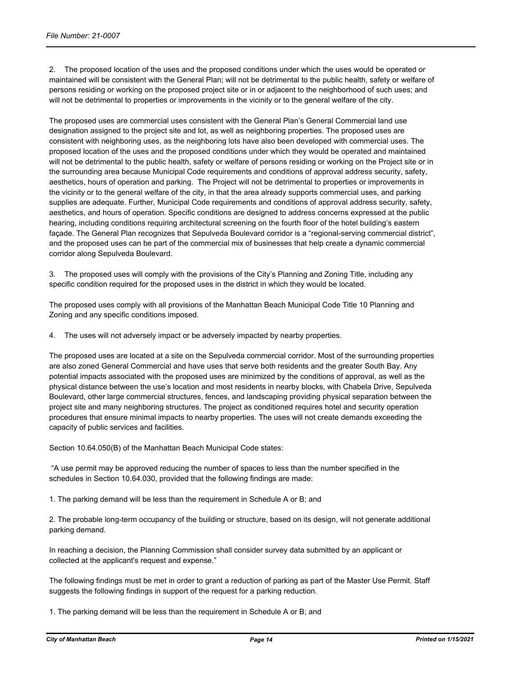2. The proposed location of the uses and the proposed conditions under which the uses would be operated or maintained will be consistent with the General Plan; will not be detrimental to the public health, safety or welfare of persons residing or working on the proposed project site or in or adjacent to the neighborhood of such uses; and will not be detrimental to properties or improvements in the vicinity or to the general welfare of the city.

The proposed uses are commercial uses consistent with the General Plan's General Commercial land use designation assigned to the project site and lot, as well as neighboring properties. The proposed uses are consistent with neighboring uses, as the neighboring lots have also been developed with commercial uses. The proposed location of the uses and the proposed conditions under which they would be operated and maintained will not be detrimental to the public health, safety or welfare of persons residing or working on the Project site or in the surrounding area because Municipal Code requirements and conditions of approval address security, safety, aesthetics, hours of operation and parking. The Project will not be detrimental to properties or improvements in the vicinity or to the general welfare of the city, in that the area already supports commercial uses, and parking supplies are adequate. Further, Municipal Code requirements and conditions of approval address security, safety, aesthetics, and hours of operation. Specific conditions are designed to address concerns expressed at the public hearing, including conditions requiring architectural screening on the fourth floor of the hotel building's eastern façade. The General Plan recognizes that Sepulveda Boulevard corridor is a "regional-serving commercial district", and the proposed uses can be part of the commercial mix of businesses that help create a dynamic commercial corridor along Sepulveda Boulevard.

3. The proposed uses will comply with the provisions of the City's Planning and Zoning Title, including any specific condition required for the proposed uses in the district in which they would be located.

The proposed uses comply with all provisions of the Manhattan Beach Municipal Code Title 10 Planning and Zoning and any specific conditions imposed.

4. The uses will not adversely impact or be adversely impacted by nearby properties.

The proposed uses are located at a site on the Sepulveda commercial corridor. Most of the surrounding properties are also zoned General Commercial and have uses that serve both residents and the greater South Bay. Any potential impacts associated with the proposed uses are minimized by the conditions of approval, as well as the physical distance between the use's location and most residents in nearby blocks, with Chabela Drive, Sepulveda Boulevard, other large commercial structures, fences, and landscaping providing physical separation between the project site and many neighboring structures. The project as conditioned requires hotel and security operation procedures that ensure minimal impacts to nearby properties. The uses will not create demands exceeding the capacity of public services and facilities.

Section 10.64.050(B) of the Manhattan Beach Municipal Code states:

 "A use permit may be approved reducing the number of spaces to less than the number specified in the schedules in Section 10.64.030, provided that the following findings are made:

1. The parking demand will be less than the requirement in Schedule A or B; and

2. The probable long-term occupancy of the building or structure, based on its design, will not generate additional parking demand.

In reaching a decision, the Planning Commission shall consider survey data submitted by an applicant or collected at the applicant's request and expense."

The following findings must be met in order to grant a reduction of parking as part of the Master Use Permit. Staff suggests the following findings in support of the request for a parking reduction.

1. The parking demand will be less than the requirement in Schedule A or B; and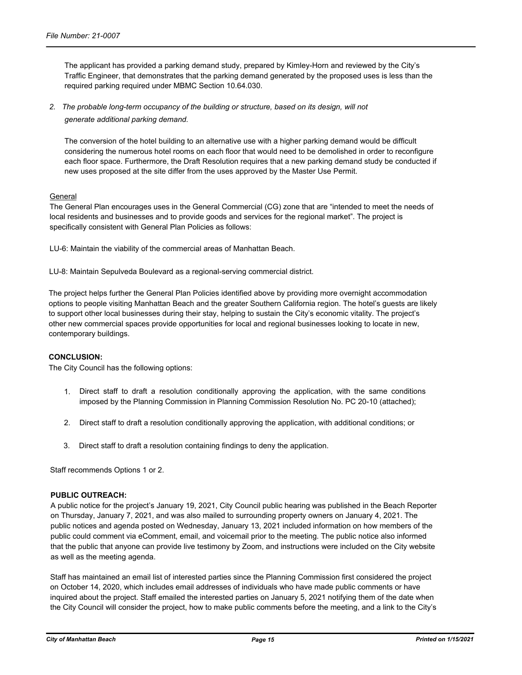The applicant has provided a parking demand study, prepared by Kimley-Horn and reviewed by the City's Traffic Engineer, that demonstrates that the parking demand generated by the proposed uses is less than the required parking required under MBMC Section 10.64.030.

*2. The probable long-term occupancy of the building or structure, based on its design, will not generate additional parking demand.*

The conversion of the hotel building to an alternative use with a higher parking demand would be difficult considering the numerous hotel rooms on each floor that would need to be demolished in order to reconfigure each floor space. Furthermore, the Draft Resolution requires that a new parking demand study be conducted if new uses proposed at the site differ from the uses approved by the Master Use Permit.

#### General

The General Plan encourages uses in the General Commercial (CG) zone that are "intended to meet the needs of local residents and businesses and to provide goods and services for the regional market". The project is specifically consistent with General Plan Policies as follows:

LU-6: Maintain the viability of the commercial areas of Manhattan Beach.

LU-8: Maintain Sepulveda Boulevard as a regional-serving commercial district.

The project helps further the General Plan Policies identified above by providing more overnight accommodation options to people visiting Manhattan Beach and the greater Southern California region. The hotel's guests are likely to support other local businesses during their stay, helping to sustain the City's economic vitality. The project's other new commercial spaces provide opportunities for local and regional businesses looking to locate in new, contemporary buildings.

#### **CONCLUSION:**

The City Council has the following options:

- 1. Direct staff to draft a resolution conditionally approving the application, with the same conditions imposed by the Planning Commission in Planning Commission Resolution No. PC 20-10 (attached);
- 2. Direct staff to draft a resolution conditionally approving the application, with additional conditions; or
- 3. Direct staff to draft a resolution containing findings to deny the application.

Staff recommends Options 1 or 2.

#### **PUBLIC OUTREACH:**

A public notice for the project's January 19, 2021, City Council public hearing was published in the Beach Reporter on Thursday, January 7, 2021, and was also mailed to surrounding property owners on January 4, 2021. The public notices and agenda posted on Wednesday, January 13, 2021 included information on how members of the public could comment via eComment, email, and voicemail prior to the meeting. The public notice also informed that the public that anyone can provide live testimony by Zoom, and instructions were included on the City website as well as the meeting agenda.

Staff has maintained an email list of interested parties since the Planning Commission first considered the project on October 14, 2020, which includes email addresses of individuals who have made public comments or have inquired about the project. Staff emailed the interested parties on January 5, 2021 notifying them of the date when the City Council will consider the project, how to make public comments before the meeting, and a link to the City's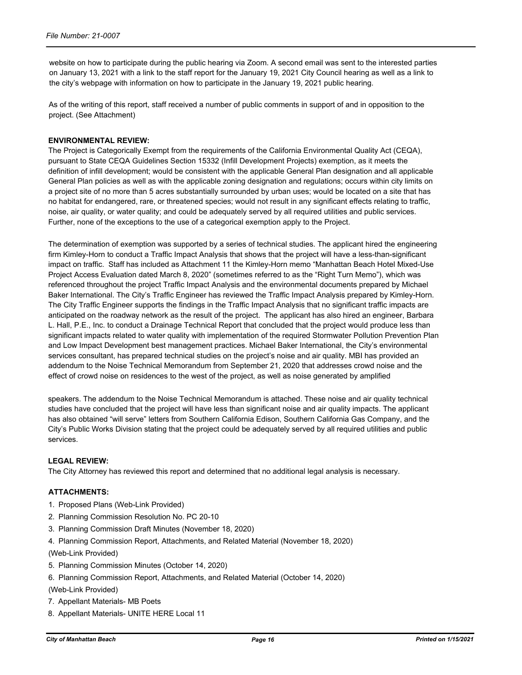website on how to participate during the public hearing via Zoom. A second email was sent to the interested parties on January 13, 2021 with a link to the staff report for the January 19, 2021 City Council hearing as well as a link to the city's webpage with information on how to participate in the January 19, 2021 public hearing.

As of the writing of this report, staff received a number of public comments in support of and in opposition to the project. (See Attachment)

#### **ENVIRONMENTAL REVIEW:**

The Project is Categorically Exempt from the requirements of the California Environmental Quality Act (CEQA), pursuant to State CEQA Guidelines Section 15332 (Infill Development Projects) exemption, as it meets the definition of infill development; would be consistent with the applicable General Plan designation and all applicable General Plan policies as well as with the applicable zoning designation and regulations; occurs within city limits on a project site of no more than 5 acres substantially surrounded by urban uses; would be located on a site that has no habitat for endangered, rare, or threatened species; would not result in any significant effects relating to traffic, noise, air quality, or water quality; and could be adequately served by all required utilities and public services. Further, none of the exceptions to the use of a categorical exemption apply to the Project.

The determination of exemption was supported by a series of technical studies. The applicant hired the engineering firm Kimley-Horn to conduct a Traffic Impact Analysis that shows that the project will have a less-than-significant impact on traffic. Staff has included as Attachment 11 the Kimley-Horn memo "Manhattan Beach Hotel Mixed-Use Project Access Evaluation dated March 8, 2020" (sometimes referred to as the "Right Turn Memo"), which was referenced throughout the project Traffic Impact Analysis and the environmental documents prepared by Michael Baker International. The City's Traffic Engineer has reviewed the Traffic Impact Analysis prepared by Kimley-Horn. The City Traffic Engineer supports the findings in the Traffic Impact Analysis that no significant traffic impacts are anticipated on the roadway network as the result of the project. The applicant has also hired an engineer, Barbara L. Hall, P.E., Inc. to conduct a Drainage Technical Report that concluded that the project would produce less than significant impacts related to water quality with implementation of the required Stormwater Pollution Prevention Plan and Low Impact Development best management practices. Michael Baker International, the City's environmental services consultant, has prepared technical studies on the project's noise and air quality. MBI has provided an addendum to the Noise Technical Memorandum from September 21, 2020 that addresses crowd noise and the effect of crowd noise on residences to the west of the project, as well as noise generated by amplified

speakers. The addendum to the Noise Technical Memorandum is attached. These noise and air quality technical studies have concluded that the project will have less than significant noise and air quality impacts. The applicant has also obtained "will serve" letters from Southern California Edison, Southern California Gas Company, and the City's Public Works Division stating that the project could be adequately served by all required utilities and public services.

#### **LEGAL REVIEW:**

The City Attorney has reviewed this report and determined that no additional legal analysis is necessary.

#### **ATTACHMENTS:**

- 1. Proposed Plans (Web-Link Provided)
- 2. Planning Commission Resolution No. PC 20-10
- 3. Planning Commission Draft Minutes (November 18, 2020)
- 4. Planning Commission Report, Attachments, and Related Material (November 18, 2020)

(Web-Link Provided)

- 5. Planning Commission Minutes (October 14, 2020)
- 6. Planning Commission Report, Attachments, and Related Material (October 14, 2020)
- (Web-Link Provided)
- 7. Appellant Materials- MB Poets
- 8. Appellant Materials- UNITE HERE Local 11